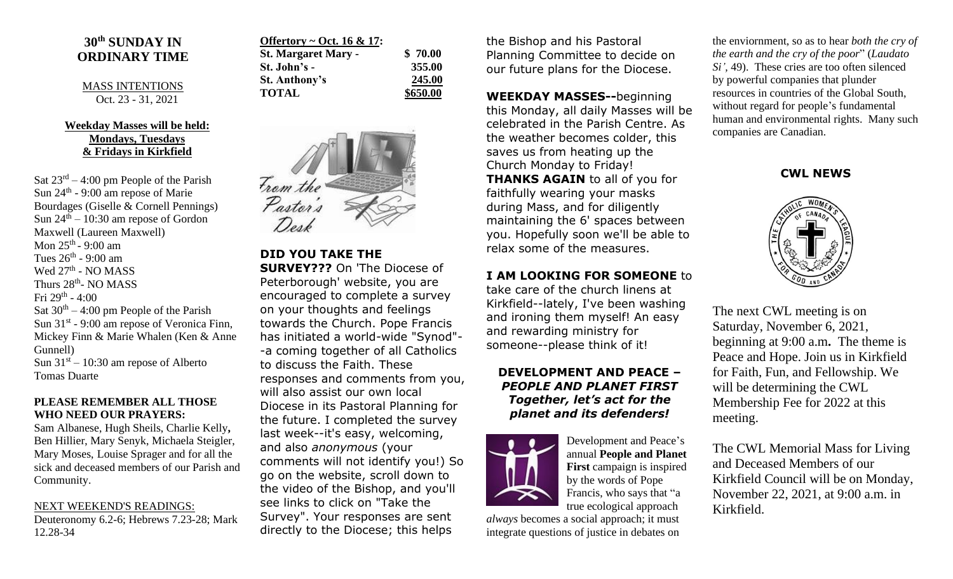# **30th SUNDAY IN ORDINARY TIME**

MASS INTENTIONS Oct. 23 - 31, 2021

### **Weekday Masses will be held: Mondays, Tuesdays & Fridays in Kirkfield**

Sat  $23^{rd} - 4:00$  pm People of the Parish Sun  $24<sup>th</sup>$  - 9:00 am repose of Marie Bourdages (Giselle & Cornell Pennings) Sun  $24<sup>th</sup> - 10:30$  am repose of Gordon Maxwell (Laureen Maxwell) Mon 25<sup>th</sup> - 9:00 am Tues  $26^{\text{th}}$  - 9:00 am Wed 27<sup>th</sup> - NO MASS Thurs 28<sup>th</sup>- NO MASS Fri 29<sup>th</sup> - 4:00 Sat  $30<sup>th</sup> - 4:00$  pm People of the Parish Sun  $31<sup>st</sup>$  - 9:00 am repose of Veronica Finn, Mickey Finn & Marie Whalen (Ken & Anne Gunnell) Sun  $31<sup>st</sup> - 10:30$  am repose of Alberto Tomas Duarte

#### **PLEASE REMEMBER ALL THOSE WHO NEED OUR PRAYERS:**

Sam Albanese, Hugh Sheils, Charlie Kelly**,**  Ben Hillier, Mary Senyk, Michaela Steigler, Mary Moses, Louise Sprager and for all the sick and deceased members of our Parish and Community.

#### NEXT WEEKEND'S READINGS:

Deuteronomy 6.2-6; Hebrews 7.23-28; Mark 12.28-34

| Offertory ~ Oct. 16 & 17:  |          |
|----------------------------|----------|
| <b>St. Margaret Mary -</b> | \$70.00  |
| St. John's -               | 355.00   |
| <b>St. Anthony's</b>       | 245.00   |
| <b>TOTAL</b>               | \$650.00 |



**DID YOU TAKE THE SURVEY???** On 'The Diocese of Peterborough' website, you are encouraged to complete a survey on your thoughts and feelings towards the Church. Pope Francis has initiated a world-wide "Synod"- -a coming together of all Catholics to discuss the Faith. These responses and comments from you, will also assist our own local Diocese in its Pastoral Planning for the future. I completed the survey last week--it's easy, welcoming, and also *anonymous* (your comments will not identify you!) So go on the website, scroll down to the video of the Bishop, and you'll see links to click on "Take the Survey". Your responses are sent directly to the Diocese; this helps

the Bishop and his Pastoral Planning Committee to decide on our future plans for the Diocese.

**WEEKDAY MASSES--**beginning this Monday, all daily Masses will be celebrated in the Parish Centre. As the weather becomes colder, this saves us from heating up the Church Monday to Friday! **THANKS AGAIN** to all of you for faithfully wearing your masks during Mass, and for diligently maintaining the 6' spaces between you. Hopefully soon we'll be able to relax some of the measures.

### **I AM LOOKING FOR SOMEONE** to

take care of the church linens at Kirkfield--lately, I've been washing and ironing them myself! An easy and rewarding ministry for someone--please think of it!

## **DEVELOPMENT AND PEACE –** *PEOPLE AND PLANET FIRST Together, let's act for the planet and its defenders!*



Development and Peace's annual **People and Planet First** campaign is inspired by the words of Pope Francis, who says that "a true ecological approach

*always* becomes a social approach; it must integrate questions of justice in debates on the enviornment, so as to hear *both the cry of the earth and the cry of the poor*" (*Laudato Si'*, 49). These cries are too often silenced by powerful companies that plunder resources in countries of the Global South, without regard for people's fundamental human and environmental rights. Many such companies are Canadian.

## **CWL NEWS**



The next CWL meeting is on Saturday, November 6, 2021, beginning at 9:00 a.m**.** The theme is Peace and Hope. Join us in Kirkfield for Faith, Fun, and Fellowship. We will be determining the CWL Membership Fee for 2022 at this meeting.

The CWL Memorial Mass for Living and Deceased Members of our Kirkfield Council will be on Monday, November 22, 2021, at 9:00 a.m. in Kirkfield.